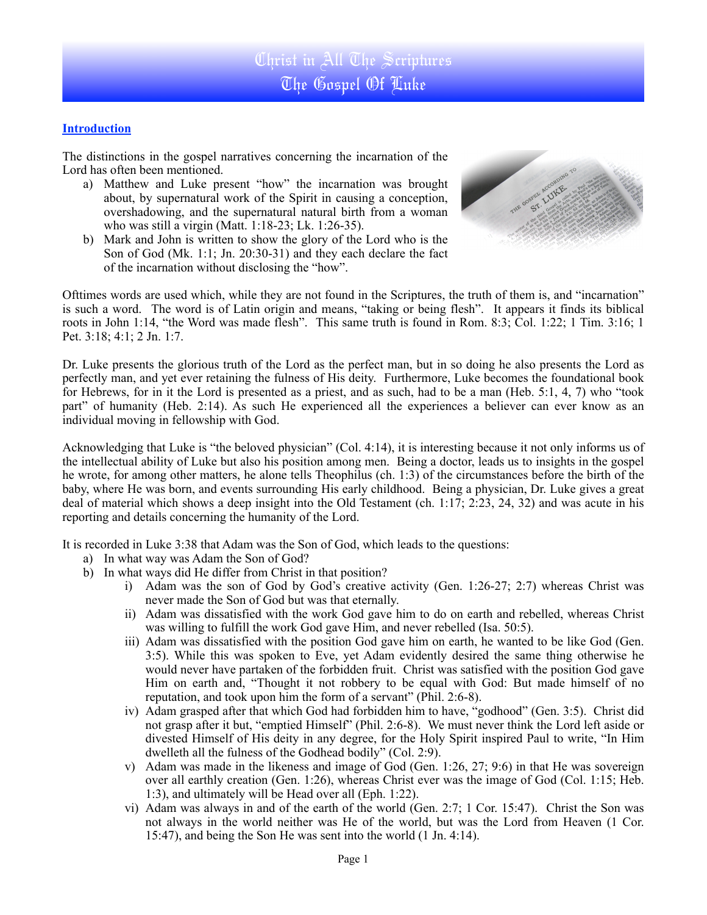## **Introduction**

The distinctions in the gospel narratives concerning the incarnation of the Lord has often been mentioned.

- a) Matthew and Luke present "how" the incarnation was brought about, by supernatural work of the Spirit in causing a conception, overshadowing, and the supernatural natural birth from a woman who was still a virgin (Matt. 1:18-23; Lk. 1:26-35).
- b) Mark and John is written to show the glory of the Lord who is the Son of God (Mk. 1:1; Jn. 20:30-31) and they each declare the fact of the incarnation without disclosing the "how".



Ofttimes words are used which, while they are not found in the Scriptures, the truth of them is, and "incarnation" is such a word. The word is of Latin origin and means, "taking or being flesh". It appears it finds its biblical roots in John 1:14, "the Word was made flesh". This same truth is found in Rom. 8:3; Col. 1:22; 1 Tim. 3:16; 1 Pet. 3:18; 4:1; 2 Jn. 1:7.

Dr. Luke presents the glorious truth of the Lord as the perfect man, but in so doing he also presents the Lord as perfectly man, and yet ever retaining the fulness of His deity. Furthermore, Luke becomes the foundational book for Hebrews, for in it the Lord is presented as a priest, and as such, had to be a man (Heb. 5:1, 4, 7) who "took part" of humanity (Heb. 2:14). As such He experienced all the experiences a believer can ever know as an individual moving in fellowship with God.

Acknowledging that Luke is "the beloved physician" (Col. 4:14), it is interesting because it not only informs us of the intellectual ability of Luke but also his position among men. Being a doctor, leads us to insights in the gospel he wrote, for among other matters, he alone tells Theophilus (ch. 1:3) of the circumstances before the birth of the baby, where He was born, and events surrounding His early childhood. Being a physician, Dr. Luke gives a great deal of material which shows a deep insight into the Old Testament (ch. 1:17; 2:23, 24, 32) and was acute in his reporting and details concerning the humanity of the Lord.

It is recorded in Luke 3:38 that Adam was the Son of God, which leads to the questions:

- a) In what way was Adam the Son of God?
- b) In what ways did He differ from Christ in that position?
	- i) Adam was the son of God by God's creative activity (Gen. 1:26-27; 2:7) whereas Christ was never made the Son of God but was that eternally.
	- ii) Adam was dissatisfied with the work God gave him to do on earth and rebelled, whereas Christ was willing to fulfill the work God gave Him, and never rebelled (Isa. 50:5).
	- iii) Adam was dissatisfied with the position God gave him on earth, he wanted to be like God (Gen. 3:5). While this was spoken to Eve, yet Adam evidently desired the same thing otherwise he would never have partaken of the forbidden fruit. Christ was satisfied with the position God gave Him on earth and, "Thought it not robbery to be equal with God: But made himself of no reputation, and took upon him the form of a servant" (Phil. 2:6-8).
	- iv) Adam grasped after that which God had forbidden him to have, "godhood" (Gen. 3:5). Christ did not grasp after it but, "emptied Himself" (Phil. 2:6-8). We must never think the Lord left aside or divested Himself of His deity in any degree, for the Holy Spirit inspired Paul to write, "In Him dwelleth all the fulness of the Godhead bodily" (Col. 2:9).
	- v) Adam was made in the likeness and image of God (Gen. 1:26, 27; 9:6) in that He was sovereign over all earthly creation (Gen. 1:26), whereas Christ ever was the image of God (Col. 1:15; Heb. 1:3), and ultimately will be Head over all (Eph. 1:22).
	- vi) Adam was always in and of the earth of the world (Gen. 2:7; 1 Cor. 15:47). Christ the Son was not always in the world neither was He of the world, but was the Lord from Heaven (1 Cor. 15:47), and being the Son He was sent into the world (1 Jn. 4:14).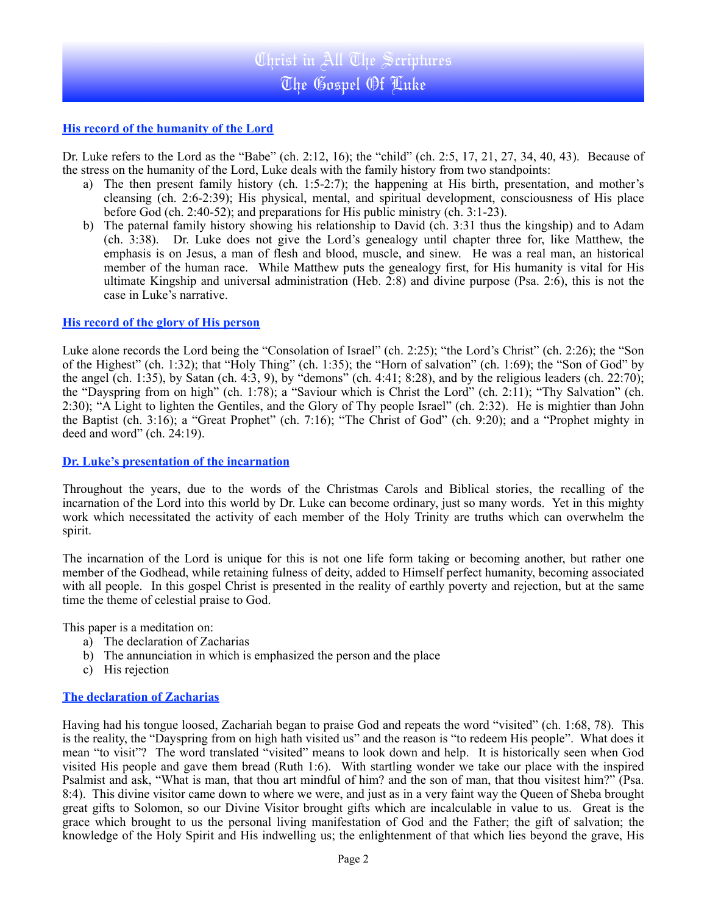## **His record of the humanity of the Lord**

Dr. Luke refers to the Lord as the "Babe" (ch. 2:12, 16); the "child" (ch. 2:5, 17, 21, 27, 34, 40, 43). Because of the stress on the humanity of the Lord, Luke deals with the family history from two standpoints:

- a) The then present family history (ch. 1:5-2:7); the happening at His birth, presentation, and mother's cleansing (ch. 2:6-2:39); His physical, mental, and spiritual development, consciousness of His place before God (ch. 2:40-52); and preparations for His public ministry (ch. 3:1-23).
- b) The paternal family history showing his relationship to David (ch. 3:31 thus the kingship) and to Adam (ch. 3:38). Dr. Luke does not give the Lord's genealogy until chapter three for, like Matthew, the emphasis is on Jesus, a man of flesh and blood, muscle, and sinew. He was a real man, an historical member of the human race. While Matthew puts the genealogy first, for His humanity is vital for His ultimate Kingship and universal administration (Heb. 2:8) and divine purpose (Psa. 2:6), this is not the case in Luke's narrative.

#### **His record of the glory of His person**

Luke alone records the Lord being the "Consolation of Israel" (ch. 2:25); "the Lord's Christ" (ch. 2:26); the "Son of the Highest" (ch. 1:32); that "Holy Thing" (ch. 1:35); the "Horn of salvation" (ch. 1:69); the "Son of God" by the angel (ch. 1:35), by Satan (ch. 4:3, 9), by "demons" (ch. 4:41; 8:28), and by the religious leaders (ch. 22:70); the "Dayspring from on high" (ch. 1:78); a "Saviour which is Christ the Lord" (ch. 2:11); "Thy Salvation" (ch. 2:30); "A Light to lighten the Gentiles, and the Glory of Thy people Israel" (ch. 2:32). He is mightier than John the Baptist (ch. 3:16); a "Great Prophet" (ch. 7:16); "The Christ of God" (ch. 9:20); and a "Prophet mighty in deed and word" (ch. 24:19).

#### **Dr. Luke's presentation of the incarnation**

Throughout the years, due to the words of the Christmas Carols and Biblical stories, the recalling of the incarnation of the Lord into this world by Dr. Luke can become ordinary, just so many words. Yet in this mighty work which necessitated the activity of each member of the Holy Trinity are truths which can overwhelm the spirit.

The incarnation of the Lord is unique for this is not one life form taking or becoming another, but rather one member of the Godhead, while retaining fulness of deity, added to Himself perfect humanity, becoming associated with all people. In this gospel Christ is presented in the reality of earthly poverty and rejection, but at the same time the theme of celestial praise to God.

This paper is a meditation on:

- a) The declaration of Zacharias
- b) The annunciation in which is emphasized the person and the place
- c) His rejection

## **The declaration of Zacharias**

Having had his tongue loosed, Zachariah began to praise God and repeats the word "visited" (ch. 1:68, 78). This is the reality, the "Dayspring from on high hath visited us" and the reason is "to redeem His people". What does it mean "to visit"? The word translated "visited" means to look down and help. It is historically seen when God visited His people and gave them bread (Ruth 1:6). With startling wonder we take our place with the inspired Psalmist and ask, "What is man, that thou art mindful of him? and the son of man, that thou visitest him?" (Psa. 8:4). This divine visitor came down to where we were, and just as in a very faint way the Queen of Sheba brought great gifts to Solomon, so our Divine Visitor brought gifts which are incalculable in value to us. Great is the grace which brought to us the personal living manifestation of God and the Father; the gift of salvation; the knowledge of the Holy Spirit and His indwelling us; the enlightenment of that which lies beyond the grave, His